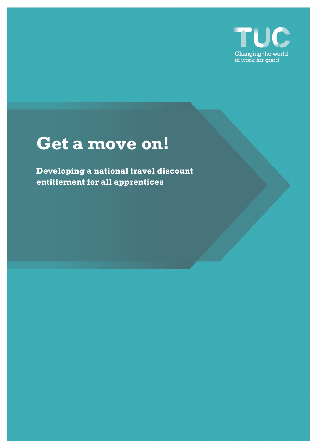

# **Get a move on!**

**Developing a national travel discount entitlement for all apprentices**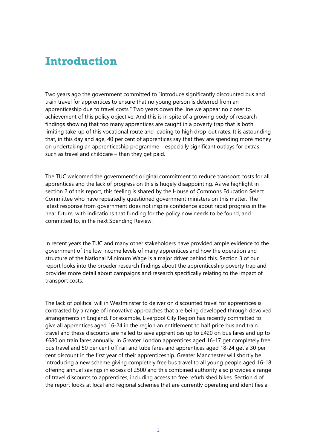## **Introduction**

Two years ago the government committed to "introduce significantly discounted bus and train travel for apprentices to ensure that no young person is deterred from an apprenticeship due to travel costs." Two years down the line we appear no closer to achievement of this policy objective. And this is in spite of a growing body of research findings showing that too many apprentices are caught in a poverty trap that is both limiting take-up of this vocational route and leading to high drop-out rates. It is astounding that, in this day and age, 40 per cent of apprentices say that they are spending more money on undertaking an apprenticeship programme – especially significant outlays for extras such as travel and childcare – than they get paid.

The TUC welcomed the government's original commitment to reduce transport costs for all apprentices and the lack of progress on this is hugely disappointing. As we highlight in section 2 of this report, this feeling is shared by the House of Commons Education Select Committee who have repeatedly questioned government ministers on this matter. The latest response from government does not inspire confidence about rapid progress in the near future, with indications that funding for the policy now needs to be found, and committed to, in the next Spending Review.

In recent years the TUC and many other stakeholders have provided ample evidence to the government of the low income levels of many apprentices and how the operation and structure of the National Minimum Wage is a major driver behind this. Section 3 of our report looks into the broader research findings about the apprenticeship poverty trap and provides more detail about campaigns and research specifically relating to the impact of transport costs.

The lack of political will in Westminster to deliver on discounted travel for apprentices is contrasted by a range of innovative approaches that are being developed through devolved arrangements in England. For example, Liverpool City Region has recently committed to give all apprentices aged 16-24 in the region an entitlement to half price bus and train travel and these discounts are hailed to save apprentices up to £420 on bus fares and up to £680 on train fares annually. In Greater London apprentices aged 16-17 get completely free bus travel and 50 per cent off rail and tube fares and apprentices aged 18-24 get a 30 per cent discount in the first year of their apprenticeship. Greater Manchester will shortly be introducing a new scheme giving completely free bus travel to all young people aged 16-18 offering annual savings in excess of £500 and this combined authority also provides a range of travel discounts to apprentices, including access to free refurbished bikes. Section 4 of the report looks at local and regional schemes that are currently operating and identifies a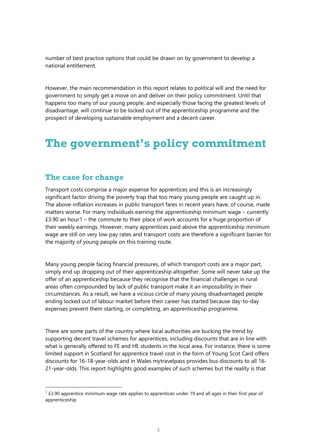number of best practice options that could be drawn on by government to develop a national entitlement.

However, the main recommendation in this report relates to political will and the need for government to simply get a move on and deliver on their policy commitment. Until that happens too many of our young people, and especially those facing the greatest levels of disadvantage, will continue to be locked out of the apprenticeship programme and the prospect of developing sustainable employment and a decent career.

### **The government's policy commitment**

#### **The case for change**

Transport costs comprise a major expense for apprentices and this is an increasingly significant factor driving the poverty trap that too many young people are caught up in. The above-inflation increases in public transport fares in recent years have, of course, made matters worse. For many individuals earning the apprenticeship minimum wage – currently £3.90 an hour[1](#page-2-0) – the commute to their place of work accounts for a huge proportion of their weekly earnings. However, many apprentices paid above the apprenticeship minimum wage are still on very low pay rates and transport costs are therefore a significant barrier for the majority of young people on this training route.

Many young people facing financial pressures, of which transport costs are a major part, simply end up dropping out of their apprenticeship altogether. Some will never take up the offer of an apprenticeship because they recognise that the financial challenges in rural areas often compounded by lack of public transport make it an impossibility in their circumstances. As a result, we have a vicious circle of many young disadvantaged people ending locked out of labour market before their career has started because day-to-day expenses prevent them starting, or completing, an apprenticeship programme.

There are some parts of the country where local authorities are bucking the trend by supporting decent travel schemes for apprentices, including discounts that are in line with what is generally offered to FE and HE students in the local area. For instance, there is some limited support in Scotland for apprentice travel cost in the form of Young Scot Card offers discounts for 16-18-year-olds and in Wales mytravelpass provides bus discounts to all 16- 21-year-olds. This report highlights good examples of such schemes but the reality is that

<span id="page-2-0"></span> $1$  £3.90 apprentice minimum wage rate applies to apprentices under 19 and all ages in their first year of apprenticeship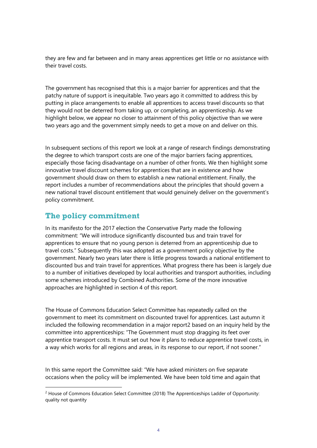they are few and far between and in many areas apprentices get little or no assistance with their travel costs.

The government has recognised that this is a major barrier for apprentices and that the patchy nature of support is inequitable. Two years ago it committed to address this by putting in place arrangements to enable all apprentices to access travel discounts so that they would not be deterred from taking up, or completing, an apprenticeship. As we highlight below, we appear no closer to attainment of this policy objective than we were two years ago and the government simply needs to get a move on and deliver on this.

In subsequent sections of this report we look at a range of research findings demonstrating the degree to which transport costs are one of the major barriers facing apprentices, especially those facing disadvantage on a number of other fronts. We then highlight some innovative travel discount schemes for apprentices that are in existence and how government should draw on them to establish a new national entitlement. Finally, the report includes a number of recommendations about the principles that should govern a new national travel discount entitlement that would genuinely deliver on the government's policy commitment.

#### **The policy commitment**

In its manifesto for the 2017 election the Conservative Party made the following commitment: "We will introduce significantly discounted bus and train travel for apprentices to ensure that no young person is deterred from an apprenticeship due to travel costs." Subsequently this was adopted as a government policy objective by the government. Nearly two years later there is little progress towards a national entitlement to discounted bus and train travel for apprentices. What progress there has been is largely due to a number of initiatives developed by local authorities and transport authorities, including some schemes introduced by Combined Authorities. Some of the more innovative approaches are highlighted in section 4 of this report.

The House of Commons Education Select Committee has repeatedly called on the government to meet its commitment on discounted travel for apprentices. Last autumn it included the following recommendation in a major report[2](#page-3-0) based on an inquiry held by the committee into apprenticeships: "The Government must stop dragging its feet over apprentice transport costs. It must set out how it plans to reduce apprentice travel costs, in a way which works for all regions and areas, in its response to our report, if not sooner."

In this same report the Committee said: "We have asked ministers on five separate occasions when the policy will be implemented. We have been told time and again that

<span id="page-3-0"></span> $<sup>2</sup>$  House of Commons Education Select Committee (2018) The Apprenticeships Ladder of Opportunity:</sup> quality not quantity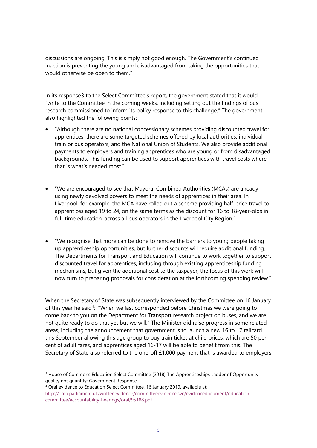discussions are ongoing. This is simply not good enough. The Government's continued inaction is preventing the young and disadvantaged from taking the opportunities that would otherwise be open to them."

In its respons[e3](#page-4-0) to the Select Committee's report, the government stated that it would "write to the Committee in the coming weeks, including setting out the findings of bus research commissioned to inform its policy response to this challenge." The government also highlighted the following points:

- "Although there are no national concessionary schemes providing discounted travel for apprentices, there are some targeted schemes offered by local authorities, individual train or bus operators, and the National Union of Students. We also provide additional payments to employers and training apprentices who are young or from disadvantaged backgrounds. This funding can be used to support apprentices with travel costs where that is what's needed most."
- "We are encouraged to see that Mayoral Combined Authorities (MCAs) are already using newly devolved powers to meet the needs of apprentices in their area. In Liverpool, for example, the MCA have rolled out a scheme providing half-price travel to apprentices aged 19 to 24, on the same terms as the discount for 16 to 18-year-olds in full-time education, across all bus operators in the Liverpool City Region."
- "We recognise that more can be done to remove the barriers to young people taking up apprenticeship opportunities, but further discounts will require additional funding. The Departments for Transport and Education will continue to work together to support discounted travel for apprentices, including through existing apprenticeship funding mechanisms, but given the additional cost to the taxpayer, the focus of this work will now turn to preparing proposals for consideration at the forthcoming spending review."

When the Secretary of State was subsequently interviewed by the Committee on 16 January of this year he said<sup>[4](#page-4-1)</sup>: "When we last corresponded before Christmas we were going to come back to you on the Department for Transport research project on buses, and we are not quite ready to do that yet but we will." The Minister did raise progress in some related areas, including the announcement that government is to launch a new 16 to 17 railcard this September allowing this age group to buy train ticket at child prices, which are 50 per cent of adult fares, and apprentices aged 16-17 will be able to benefit from this. The Secretary of State also referred to the one-off £1,000 payment that is awarded to employers

<span id="page-4-1"></span><sup>4</sup> Oral evidence to Education Select Committee, 16 January 2019, available at: [http://data.parliament.uk/writtenevidence/committeeevidence.svc/evidencedocument/education](http://data.parliament.uk/writtenevidence/committeeevidence.svc/evidencedocument/education-committee/accountability-hearings/oral/95188.pdf)[committee/accountability-hearings/oral/95188.pdf](http://data.parliament.uk/writtenevidence/committeeevidence.svc/evidencedocument/education-committee/accountability-hearings/oral/95188.pdf)

<span id="page-4-0"></span><sup>&</sup>lt;sup>3</sup> House of Commons Education Select Committee (2018) The Apprenticeships Ladder of Opportunity: quality not quantity: Government Response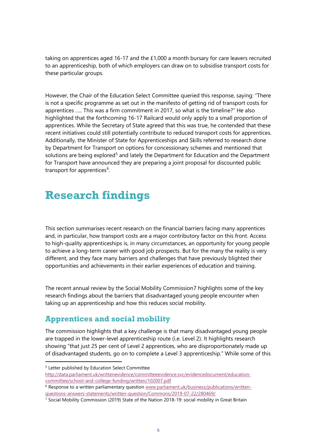taking on apprentices aged 16-17 and the £1,000 a month bursary for care leavers recruited to an apprenticeship, both of which employers can draw on to subsidise transport costs for these particular groups.

However, the Chair of the Education Select Committee queried this response, saying: "There is not a specific programme as set out in the manifesto of getting rid of transport costs for apprentices ….. This was a firm commitment in 2017, so what is the timeline?" He also highlighted that the forthcoming 16-17 Railcard would only apply to a small proportion of apprentices. While the Secretary of State agreed that this was true, he contended that these recent initiatives could still potentially contribute to reduced transport costs for apprentices. Additionally, the Minister of State for Apprenticeships and Skills referred to research done by Department for Transport on options for concessionary schemes and mentioned that solutions are being explored<sup>[5](#page-5-0)</sup> and lately the Department for Education and the Department for Transport have announced they are preparing a joint proposal for discounted public transport for apprentices<sup>[6](#page-5-1)</sup>.

## **Research findings**

This section summarises recent research on the financial barriers facing many apprentices and, in particular, how transport costs are a major contributory factor on this front. Access to high-quality apprenticeships is, in many circumstances, an opportunity for young people to achieve a long-term career with good job prospects. But for the many the reality is very different, and they face many barriers and challenges that have previously blighted their opportunities and achievements in their earlier experiences of education and training.

The recent annual review by the Social Mobility Commissio[n7](#page-5-2) highlights some of the key research findings about the barriers that disadvantaged young people encounter when taking up an apprenticeship and how this reduces social mobility.

### **Apprentices and social mobility**

The commission highlights that a key challenge is that many disadvantaged young people are trapped in the lower-level apprenticeship route (i.e. Level 2). It highlights research showing "that just 25 per cent of Level 2 apprentices, who are disproportionately made up of disadvantaged students, go on to complete a Level 3 apprenticeship." While some of this

<span id="page-5-0"></span><sup>5</sup> Letter published by Education Select Committee [http://data.parliament.uk/writtenevidence/committeeevidence.svc/evidencedocument/education](http://data.parliament.uk/writtenevidence/committeeevidence.svc/evidencedocument/education-committee/school-and-college-funding/written/102007.pdf)[committee/school-and-college-funding/written/102007.pdf](http://data.parliament.uk/writtenevidence/committeeevidence.svc/evidencedocument/education-committee/school-and-college-funding/written/102007.pdf)

<span id="page-5-1"></span><sup>6</sup> Response to a written parliamentary question [www.parliament.uk/business/publications/written](http://www.parliament.uk/business/publications/written-questions-answers-statements/written-question/Commons/2019-07-22/280469/)[questions-answers-statements/written-question/Commons/2019-07-22/280469/](http://www.parliament.uk/business/publications/written-questions-answers-statements/written-question/Commons/2019-07-22/280469/)

<span id="page-5-2"></span><sup>&</sup>lt;sup>7</sup> Social Mobility Commission (2019) State of the Nation 2018-19: social mobility in Great Britain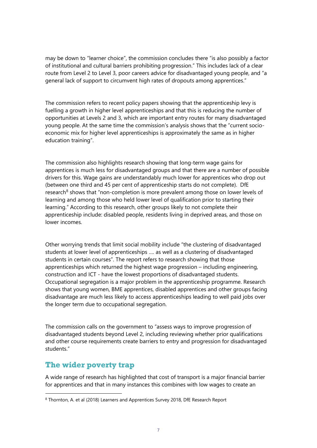may be down to "learner choice", the commission concludes there "is also possibly a factor of institutional and cultural barriers prohibiting progression." This includes lack of a clear route from Level 2 to Level 3, poor careers advice for disadvantaged young people, and "a general lack of support to circumvent high rates of dropouts among apprentices."

The commission refers to recent policy papers showing that the apprenticeship levy is fuelling a growth in higher level apprenticeships and that this is reducing the number of opportunities at Levels 2 and 3, which are important entry routes for many disadvantaged young people. At the same time the commission's analysis shows that the "current socioeconomic mix for higher level apprenticeships is approximately the same as in higher education training".

The commission also highlights research showing that long-term wage gains for apprentices is much less for disadvantaged groups and that there are a number of possible drivers for this. Wage gains are understandably much lower for apprentices who drop out (between one third and 45 per cent of apprenticeship starts do not complete). DfE research<sup>[8](#page-6-0)</sup> shows that "non-completion is more prevalent among those on lower levels of learning and among those who held lower level of qualification prior to starting their learning." According to this research, other groups likely to not complete their apprenticeship include: disabled people, residents living in deprived areas, and those on lower incomes.

Other worrying trends that limit social mobility include "the clustering of disadvantaged students at lower level of apprenticeships …. as well as a clustering of disadvantaged students in certain courses". The report refers to research showing that those apprenticeships which returned the highest wage progression – including engineering, construction and ICT - have the lowest proportions of disadvantaged students. Occupational segregation is a major problem in the apprenticeship programme. Research shows that young women, BME apprentices, disabled apprentices and other groups facing disadvantage are much less likely to access apprenticeships leading to well paid jobs over the longer term due to occupational segregation.

The commission calls on the government to "assess ways to improve progression of disadvantaged students beyond Level 2, including reviewing whether prior qualifications and other course requirements create barriers to entry and progression for disadvantaged students."

#### **The wider poverty trap**

A wide range of research has highlighted that cost of transport is a major financial barrier for apprentices and that in many instances this combines with low wages to create an

<span id="page-6-0"></span><sup>8</sup> Thornton, A. et al (2018) Learners and Apprentices Survey 2018, DfE Research Report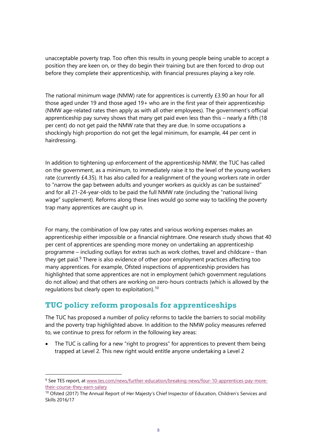unacceptable poverty trap. Too often this results in young people being unable to accept a position they are keen on, or they do begin their training but are then forced to drop out before they complete their apprenticeship, with financial pressures playing a key role.

The national minimum wage (NMW) rate for apprentices is currently £3.90 an hour for all those aged under 19 and those aged 19+ who are in the first year of their apprenticeship (NMW age-related rates then apply as with all other employees). The government's official apprenticeship pay survey shows that many get paid even less than this – nearly a fifth (18 per cent) do not get paid the NMW rate that they are due. In some occupations a shockingly high proportion do not get the legal minimum, for example, 44 per cent in hairdressing.

In addition to tightening up enforcement of the apprenticeship NMW, the TUC has called on the government, as a minimum, to immediately raise it to the level of the young workers rate (currently £4.35). It has also called for a realignment of the young workers rate in order to "narrow the gap between adults and younger workers as quickly as can be sustained" and for all 21-24-year-olds to be paid the full NMW rate (including the "national living wage" supplement). Reforms along these lines would go some way to tackling the poverty trap many apprentices are caught up in.

For many, the combination of low pay rates and various working expenses makes an apprenticeship either impossible or a financial nightmare. One research study shows that 40 per cent of apprentices are spending more money on undertaking an apprenticeship programme – including outlays for extras such as work clothes, travel and childcare – than they get paid.<sup>[9](#page-7-0)</sup> There is also evidence of other poor employment practices affecting too many apprentices. For example, Ofsted inspections of apprenticeship providers has highlighted that some apprentices are not in employment (which government regulations do not allow) and that others are working on zero-hours contracts (which is allowed by the regulations but clearly open to exploitation).<sup>[10](#page-7-1)</sup>

### **TUC policy reform proposals for apprenticeships**

The TUC has proposed a number of policy reforms to tackle the barriers to social mobility and the poverty trap highlighted above. In addition to the NMW policy measures referred to, we continue to press for reform in the following key areas:

The TUC is calling for a new "right to progress" for apprentices to prevent them being trapped at Level 2. This new right would entitle anyone undertaking a Level 2

<span id="page-7-0"></span><sup>9</sup> See TES report, at [www.tes.com/news/further-education/breaking-news/four-10-apprentices-pay-more](http://www.tes.com/news/further-education/breaking-news/four-10-apprentices-pay-more-their-course-they-earn-salary)[their-course-they-earn-salary](http://www.tes.com/news/further-education/breaking-news/four-10-apprentices-pay-more-their-course-they-earn-salary)

<span id="page-7-1"></span><sup>&</sup>lt;sup>10</sup> Ofsted (2017) The Annual Report of Her Majesty's Chief Inspector of Education, Children's Services and Skills 2016/17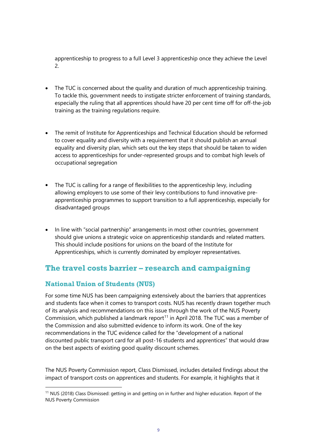apprenticeship to progress to a full Level 3 apprenticeship once they achieve the Level 2.

- The TUC is concerned about the quality and duration of much apprenticeship training. To tackle this, government needs to instigate stricter enforcement of training standards, especially the ruling that all apprentices should have 20 per cent time off for off-the-job training as the training regulations require.
- The remit of Institute for Apprenticeships and Technical Education should be reformed to cover equality and diversity with a requirement that it should publish an annual equality and diversity plan, which sets out the key steps that should be taken to widen access to apprenticeships for under-represented groups and to combat high levels of occupational segregation
- The TUC is calling for a range of flexibilities to the apprenticeship levy, including allowing employers to use some of their levy contributions to fund innovative preapprenticeship programmes to support transition to a full apprenticeship, especially for disadvantaged groups
- In line with "social partnership" arrangements in most other countries, government should give unions a strategic voice on apprenticeship standards and related matters. This should include positions for unions on the board of the Institute for Apprenticeships, which is currently dominated by employer representatives.

### **The travel costs barrier – research and campaigning**

#### **National Union of Students (NUS)**

For some time NUS has been campaigning extensively about the barriers that apprentices and students face when it comes to transport costs. NUS has recently drawn together much of its analysis and recommendations on this issue through the work of the NUS Poverty Commission, which published a landmark report<sup>[11](#page-8-0)</sup> in April 2018. The TUC was a member of the Commission and also submitted evidence to inform its work. One of the key recommendations in the TUC evidence called for the "development of a national discounted public transport card for all post-16 students and apprentices" that would draw on the best aspects of existing good quality discount schemes.

The NUS Poverty Commission report, Class Dismissed, includes detailed findings about the impact of transport costs on apprentices and students. For example, it highlights that it

<span id="page-8-0"></span><sup>11</sup> NUS (2018) Class Dismissed: getting in and getting on in further and higher education. Report of the NUS Poverty Commission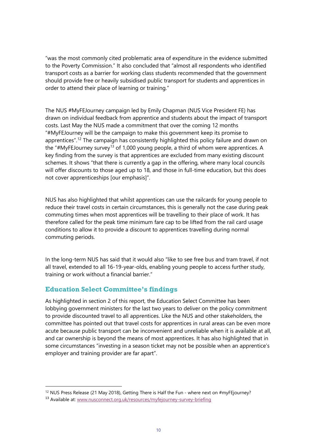"was the most commonly cited problematic area of expenditure in the evidence submitted to the Poverty Commission." It also concluded that "almost all respondents who identified transport costs as a barrier for working class students recommended that the government should provide free or heavily subsidised public transport for students and apprentices in order to attend their place of learning or training."

The NUS #MyFEJourney campaign led by Emily Chapman (NUS Vice President FE) has drawn on individual feedback from apprentice and students about the impact of transport costs. Last May the NUS made a commitment that over the coming 12 months "#MyFEJourney will be the campaign to make this government keep its promise to apprentices".<sup>[12](#page-9-0)</sup> The campaign has consistently highlighted this policy failure and drawn on the "#MyFEJourney survey<sup>[13](#page-9-1)</sup> of 1,000 young people, a third of whom were apprentices. A key finding from the survey is that apprentices are excluded from many existing discount schemes. It shows "that there is currently a gap in the offering, where many local councils will offer discounts to those aged up to 18, and those in full-time education, but this does not cover apprenticeships [our emphasis]".

NUS has also highlighted that whilst apprentices can use the railcards for young people to reduce their travel costs in certain circumstances, this is generally not the case during peak commuting times when most apprentices will be travelling to their place of work. It has therefore called for the peak time minimum fare cap to be lifted from the rail card usage conditions to allow it to provide a discount to apprentices travelling during normal commuting periods.

In the long-term NUS has said that it would also "like to see free bus and tram travel, if not all travel, extended to all 16-19-year-olds, enabling young people to access further study, training or work without a financial barrier."

#### **Education Select Committee's findings**

As highlighted in section 2 of this report, the Education Select Committee has been lobbying government ministers for the last two years to deliver on the policy commitment to provide discounted travel to all apprentices. Like the NUS and other stakeholders, the committee has pointed out that travel costs for apprentices in rural areas can be even more acute because public transport can be inconvenient and unreliable when it is available at all, and car ownership is beyond the means of most apprentices. It has also highlighted that in some circumstances "investing in a season ticket may not be possible when an apprentice's employer and training provider are far apart".

<span id="page-9-0"></span><sup>&</sup>lt;sup>12</sup> NUS Press Release (21 May 2018), Getting There is Half the Fun - where next on #myFEjourney?

<span id="page-9-1"></span><sup>13</sup> Available at: [www.nusconnect.org.uk/resources/myfejourney-survey-briefing](http://www.nusconnect.org.uk/resources/myfejourney-survey-briefing)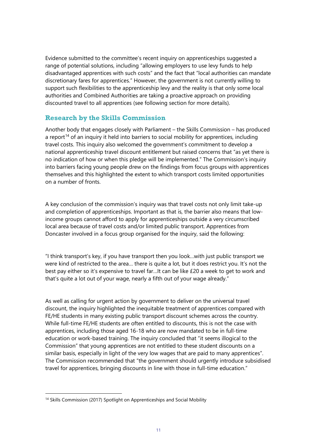Evidence submitted to the committee's recent inquiry on apprenticeships suggested a range of potential solutions, including "allowing employers to use levy funds to help disadvantaged apprentices with such costs" and the fact that "local authorities can mandate discretionary fares for apprentices." However, the government is not currently willing to support such flexibilities to the apprenticeship levy and the reality is that only some local authorities and Combined Authorities are taking a proactive approach on providing discounted travel to all apprentices (see following section for more details).

#### **Research by the Skills Commission**

Another body that engages closely with Parliament – the Skills Commission – has produced a report<sup>[14](#page-10-0)</sup> of an inquiry it held into barriers to social mobility for apprentices, including travel costs. This inquiry also welcomed the government's commitment to develop a national apprenticeship travel discount entitlement but raised concerns that "as yet there is no indication of how or when this pledge will be implemented." The Commission's inquiry into barriers facing young people drew on the findings from focus groups with apprentices themselves and this highlighted the extent to which transport costs limited opportunities on a number of fronts.

A key conclusion of the commission's inquiry was that travel costs not only limit take-up and completion of apprenticeships. Important as that is, the barrier also means that lowincome groups cannot afford to apply for apprenticeships outside a very circumscribed local area because of travel costs and/or limited public transport. Apprentices from Doncaster involved in a focus group organised for the inquiry, said the following:

"I think transport's key, if you have transport then you look…with just public transport we were kind of restricted to the area… there is quite a lot, but it does restrict you. It's not the best pay either so it's expensive to travel far…It can be like £20 a week to get to work and that's quite a lot out of your wage, nearly a fifth out of your wage already."

As well as calling for urgent action by government to deliver on the universal travel discount, the inquiry highlighted the inequitable treatment of apprentices compared with FE/HE students in many existing public transport discount schemes across the country. While full-time FE/HE students are often entitled to discounts, this is not the case with apprentices, including those aged 16-18 who are now mandated to be in full-time education or work-based training. The inquiry concluded that "it seems illogical to the Commission" that young apprentices are not entitled to these student discounts on a similar basis, especially in light of the very low wages that are paid to many apprentices". The Commission recommended that "the government should urgently introduce subsidised travel for apprentices, bringing discounts in line with those in full-time education."

<span id="page-10-0"></span><sup>&</sup>lt;sup>14</sup> Skills Commission (2017) Spotlight on Apprenticeships and Social Mobility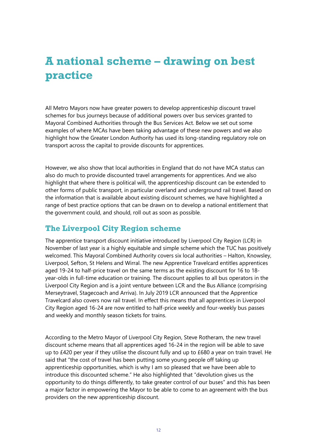# **A national scheme – drawing on best practice**

All Metro Mayors now have greater powers to develop apprenticeship discount travel schemes for bus journeys because of additional powers over bus services granted to Mayoral Combined Authorities through the Bus Services Act. Below we set out some examples of where MCAs have been taking advantage of these new powers and we also highlight how the Greater London Authority has used its long-standing regulatory role on transport across the capital to provide discounts for apprentices.

However, we also show that local authorities in England that do not have MCA status can also do much to provide discounted travel arrangements for apprentices. And we also highlight that where there is political will, the apprenticeship discount can be extended to other forms of public transport, in particular overland and underground rail travel. Based on the information that is available about existing discount schemes, we have highlighted a range of best practice options that can be drawn on to develop a national entitlement that the government could, and should, roll out as soon as possible.

#### **The Liverpool City Region scheme**

The apprentice transport discount initiative introduced by Liverpool City Region (LCR) in November of last year is a highly equitable and simple scheme which the TUC has positively welcomed. This Mayoral Combined Authority covers six local authorities – Halton, Knowsley, Liverpool, Sefton, St Helens and Wirral. The new Apprentice Travelcard entitles apprentices aged 19-24 to half-price travel on the same terms as the existing discount for 16 to 18 year-olds in full-time education or training. The discount applies to all bus operators in the Liverpool City Region and is a joint venture between LCR and the Bus Alliance (comprising Merseytravel, Stagecoach and Arriva). In July 2019 LCR announced that the Apprentice Travelcard also covers now rail travel. In effect this means that all apprentices in Liverpool City Region aged 16-24 are now entitled to half-price weekly and four-weekly bus passes and weekly and monthly season tickets for trains.

According to the Metro Mayor of Liverpool City Region, Steve Rotheram, the new travel discount scheme means that all apprentices aged 16-24 in the region will be able to save up to £420 per year if they utilise the discount fully and up to £680 a year on train travel. He said that "the cost of travel has been putting some young people off taking up apprenticeship opportunities, which is why I am so pleased that we have been able to introduce this discounted scheme." He also highlighted that "devolution gives us the opportunity to do things differently, to take greater control of our buses" and this has been a major factor in empowering the Mayor to be able to come to an agreement with the bus providers on the new apprenticeship discount.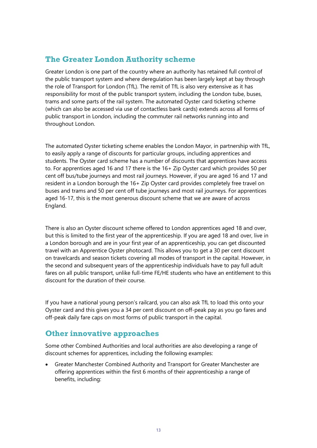### **The Greater London Authority scheme**

Greater London is one part of the country where an authority has retained full control of the public transport system and where deregulation has been largely kept at bay through the role of Transport for London (TfL). The remit of TfL is also very extensive as it has responsibility for most of the public transport system, including the London tube, buses, trams and some parts of the rail system. The automated Oyster card ticketing scheme (which can also be accessed via use of contactless bank cards) extends across all forms of public transport in London, including the commuter rail networks running into and throughout London.

The automated Oyster ticketing scheme enables the London Mayor, in partnership with TfL, to easily apply a range of discounts for particular groups, including apprentices and students. The Oyster card scheme has a number of discounts that apprentices have access to. For apprentices aged 16 and 17 there is the 16+ Zip Oyster card which provides 50 per cent off bus/tube journeys and most rail journeys. However, if you are aged 16 and 17 and resident in a London borough the 16+ Zip Oyster card provides completely free travel on buses and trams and 50 per cent off tube journeys and most rail journeys. For apprentices aged 16-17, this is the most generous discount scheme that we are aware of across England.

There is also an Oyster discount scheme offered to London apprentices aged 18 and over, but this is limited to the first year of the apprenticeship. If you are aged 18 and over, live in a London borough and are in your first year of an apprenticeship, you can get discounted travel with an Apprentice Oyster photocard. This allows you to get a 30 per cent discount on travelcards and season tickets covering all modes of transport in the capital. However, in the second and subsequent years of the apprenticeship individuals have to pay full adult fares on all public transport, unlike full-time FE/HE students who have an entitlement to this discount for the duration of their course.

If you have a national young person's railcard, you can also ask TfL to load this onto your Oyster card and this gives you a 34 per cent discount on off-peak pay as you go fares and off-peak daily fare caps on most forms of public transport in the capital.

### **Other innovative approaches**

Some other Combined Authorities and local authorities are also developing a range of discount schemes for apprentices, including the following examples:

• Greater Manchester Combined Authority and Transport for Greater Manchester are offering apprentices within the first 6 months of their apprenticeship a range of benefits, including: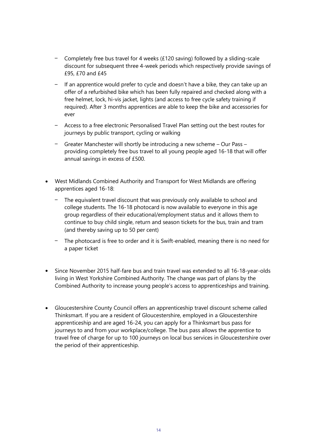- Completely free bus travel for 4 weeks (£120 saving) followed by a sliding-scale discount for subsequent three 4-week periods which respectively provide savings of £95, £70 and £45
- If an apprentice would prefer to cycle and doesn't have a bike, they can take up an offer of a refurbished bike which has been fully repaired and checked along with a free helmet, lock, hi-vis jacket, lights (and access to free cycle safety training if required). After 3 months apprentices are able to keep the bike and accessories for ever
- Access to a free electronic Personalised Travel Plan setting out the best routes for journeys by public transport, cycling or walking
- Greater Manchester will shortly be introducing a new scheme Our Pass providing completely free bus travel to all young people aged 16-18 that will offer annual savings in excess of £500.
- West Midlands Combined Authority and Transport for West Midlands are offering apprentices aged 16-18:
	- The equivalent travel discount that was previously only available to school and college students. The 16-18 photocard is now available to everyone in this age group regardless of their educational/employment status and it allows them to continue to buy child single, return and season tickets for the bus, train and tram (and thereby saving up to 50 per cent)
	- The photocard is free to order and it is Swift-enabled, meaning there is no need for a paper ticket
- Since November 2015 half-fare bus and train travel was extended to all 16-18-year-olds living in West Yorkshire Combined Authority. The change was part of plans by the Combined Authority to increase young people's access to apprenticeships and training.
- Gloucestershire County Council offers an apprenticeship travel discount scheme called Thinksmart. If you are a resident of Gloucestershire, employed in a Gloucestershire apprenticeship and are aged 16-24, you can apply for a Thinksmart bus pass for journeys to and from your workplace/college. The bus pass allows the apprentice to travel free of charge for up to 100 journeys on local bus services in Gloucestershire over the period of their apprenticeship.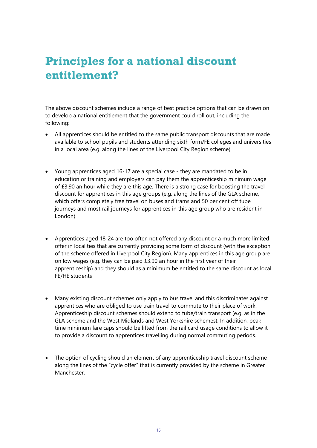# **Principles for a national discount entitlement?**

The above discount schemes include a range of best practice options that can be drawn on to develop a national entitlement that the government could roll out, including the following:

- All apprentices should be entitled to the same public transport discounts that are made available to school pupils and students attending sixth form/FE colleges and universities in a local area (e.g. along the lines of the Liverpool City Region scheme)
- Young apprentices aged 16-17 are a special case they are mandated to be in education or training and employers can pay them the apprenticeship minimum wage of £3.90 an hour while they are this age. There is a strong case for boosting the travel discount for apprentices in this age groups (e.g. along the lines of the GLA scheme, which offers completely free travel on buses and trams and 50 per cent off tube journeys and most rail journeys for apprentices in this age group who are resident in London)
- Apprentices aged 18-24 are too often not offered any discount or a much more limited offer in localities that are currently providing some form of discount (with the exception of the scheme offered in Liverpool City Region). Many apprentices in this age group are on low wages (e.g. they can be paid £3.90 an hour in the first year of their apprenticeship) and they should as a minimum be entitled to the same discount as local FE/HE students
- Many existing discount schemes only apply to bus travel and this discriminates against apprentices who are obliged to use train travel to commute to their place of work. Apprenticeship discount schemes should extend to tube/train transport (e.g. as in the GLA scheme and the West Midlands and West Yorkshire schemes). In addition, peak time minimum fare caps should be lifted from the rail card usage conditions to allow it to provide a discount to apprentices travelling during normal commuting periods.
- The option of cycling should an element of any apprenticeship travel discount scheme along the lines of the "cycle offer" that is currently provided by the scheme in Greater Manchester.